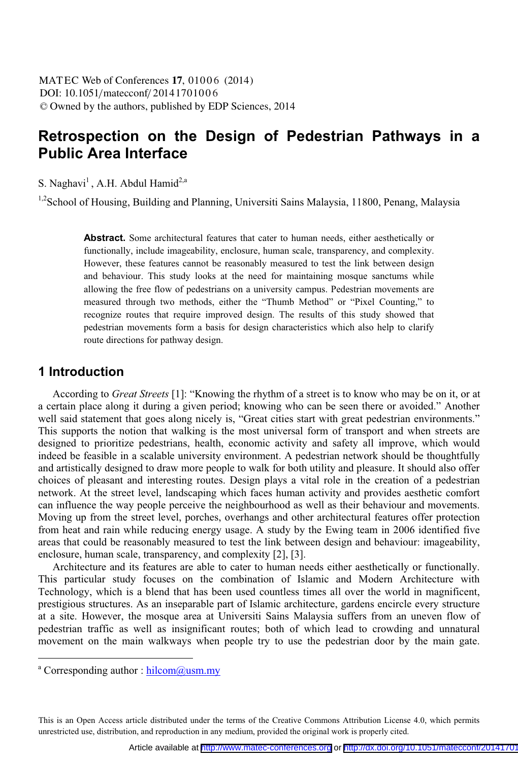## **Retrospection on the Design of Pedestrian Pathways in a Public Area Interface**

S. Naghavi<sup>1</sup>, A.H. Abdul Hamid<sup>2,a</sup>

<sup>1,2</sup>School of Housing, Building and Planning, Universiti Sains Malaysia, 11800, Penang, Malaysia

**Abstract.** Some architectural features that cater to human needs, either aesthetically or functionally, include imageability, enclosure, human scale, transparency, and complexity. However, these features cannot be reasonably measured to test the link between design and behaviour. This study looks at the need for maintaining mosque sanctums while allowing the free flow of pedestrians on a university campus. Pedestrian movements are measured through two methods, either the "Thumb Method" or "Pixel Counting," to recognize routes that require improved design. The results of this study showed that pedestrian movements form a basis for design characteristics which also help to clarify route directions for pathway design.

### **1 Introduction**

 According to *Great Streets* [1]: "Knowing the rhythm of a street is to know who may be on it, or at a certain place along it during a given period; knowing who can be seen there or avoided." Another well said statement that goes along nicely is, "Great cities start with great pedestrian environments." This supports the notion that walking is the most universal form of transport and when streets are designed to prioritize pedestrians, health, economic activity and safety all improve, which would indeed be feasible in a scalable university environment. A pedestrian network should be thoughtfully and artistically designed to draw more people to walk for both utility and pleasure. It should also offer choices of pleasant and interesting routes. Design plays a vital role in the creation of a pedestrian network. At the street level, landscaping which faces human activity and provides aesthetic comfort can influence the way people perceive the neighbourhood as well as their behaviour and movements. Moving up from the street level, porches, overhangs and other architectural features offer protection from heat and rain while reducing energy usage. A study by the Ewing team in 2006 identified five areas that could be reasonably measured to test the link between design and behaviour: imageability, enclosure, human scale, transparency, and complexity [2], [3].

 Architecture and its features are able to cater to human needs either aesthetically or functionally. This particular study focuses on the combination of Islamic and Modern Architecture with Technology, which is a blend that has been used countless times all over the world in magnificent, prestigious structures. As an inseparable part of Islamic architecture, gardens encircle every structure at a site. However, the mosque area at Universiti Sains Malaysia suffers from an uneven flow of pedestrian traffic as well as insignificant routes; both of which lead to crowding and unnatural movement on the main walkways when people try to use the pedestrian door by the main gate.

 $\overline{a}$ 

This is an Open Access article distributed under the terms of the Creative Commons Attribution License 4.0, which permits unrestricted use, distribution, and reproduction in any medium, provided the original work is properly cited.

<sup>&</sup>lt;sup>a</sup> Corresponding author : hilcom@usm.my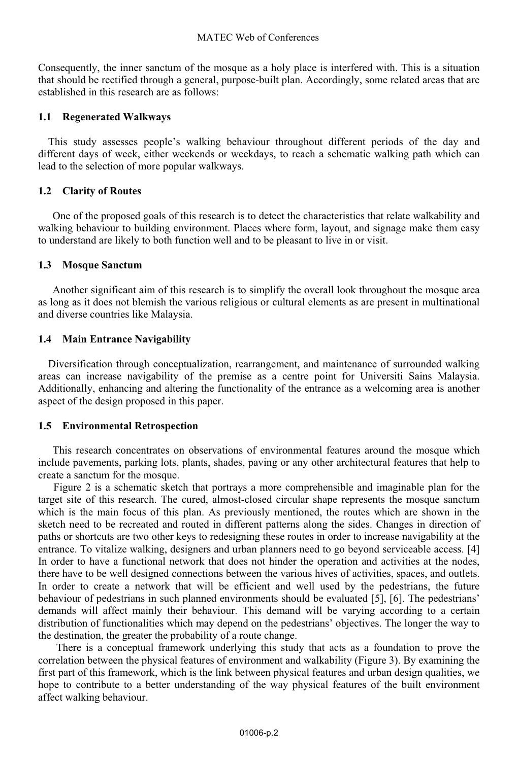Consequently, the inner sanctum of the mosque as a holy place is interfered with. This is a situation that should be rectified through a general, purpose-built plan. Accordingly, some related areas that are established in this research are as follows:

#### **1.1 Regenerated Walkways**

This study assesses people's walking behaviour throughout different periods of the day and different days of week, either weekends or weekdays, to reach a schematic walking path which can lead to the selection of more popular walkways.

#### **1.2 Clarity of Routes**

 One of the proposed goals of this research is to detect the characteristics that relate walkability and walking behaviour to building environment. Places where form, layout, and signage make them easy to understand are likely to both function well and to be pleasant to live in or visit.

#### **1.3 Mosque Sanctum**

 Another significant aim of this research is to simplify the overall look throughout the mosque area as long as it does not blemish the various religious or cultural elements as are present in multinational and diverse countries like Malaysia.

#### **1.4 Main Entrance Navigability**

Diversification through conceptualization, rearrangement, and maintenance of surrounded walking areas can increase navigability of the premise as a centre point for Universiti Sains Malaysia. Additionally, enhancing and altering the functionality of the entrance as a welcoming area is another aspect of the design proposed in this paper.

#### **1.5 Environmental Retrospection**

 This research concentrates on observations of environmental features around the mosque which include pavements, parking lots, plants, shades, paving or any other architectural features that help to create a sanctum for the mosque.

 Figure 2 is a schematic sketch that portrays a more comprehensible and imaginable plan for the target site of this research. The cured, almost-closed circular shape represents the mosque sanctum which is the main focus of this plan. As previously mentioned, the routes which are shown in the sketch need to be recreated and routed in different patterns along the sides. Changes in direction of paths or shortcuts are two other keys to redesigning these routes in order to increase navigability at the entrance. To vitalize walking, designers and urban planners need to go beyond serviceable access. [4] In order to have a functional network that does not hinder the operation and activities at the nodes, there have to be well designed connections between the various hives of activities, spaces, and outlets. In order to create a network that will be efficient and well used by the pedestrians, the future behaviour of pedestrians in such planned environments should be evaluated [5], [6]. The pedestrians' demands will affect mainly their behaviour. This demand will be varying according to a certain distribution of functionalities which may depend on the pedestrians' objectives. The longer the way to the destination, the greater the probability of a route change.

 There is a conceptual framework underlying this study that acts as a foundation to prove the correlation between the physical features of environment and walkability (Figure 3). By examining the first part of this framework, which is the link between physical features and urban design qualities, we hope to contribute to a better understanding of the way physical features of the built environment affect walking behaviour.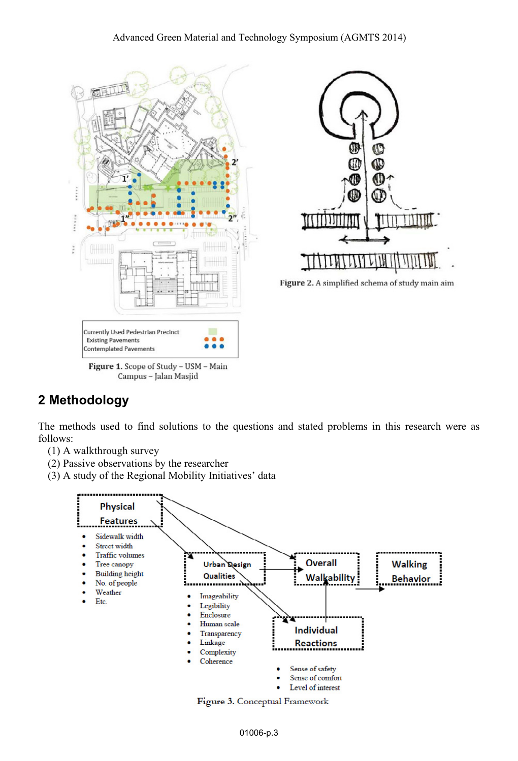



Figure 2. A simplified schema of study main aim

# **2 Methodology**

The methods used to find solutions to the questions and stated problems in this research were as follows:

- (1) A walkthrough survey
- (2) Passive observations by the researcher
- (3) A study of the Regional Mobility Initiatives' data



Figure 3. Conceptual Framework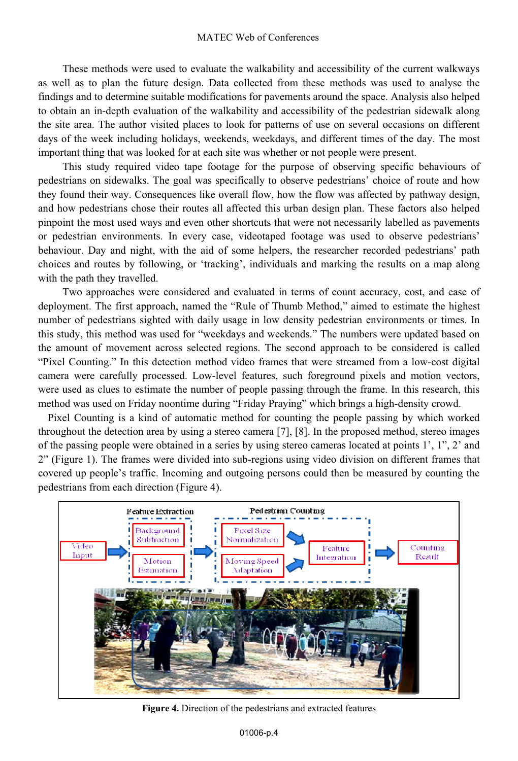These methods were used to evaluate the walkability and accessibility of the current walkways as well as to plan the future design. Data collected from these methods was used to analyse the findings and to determine suitable modifications for pavements around the space. Analysis also helped to obtain an in-depth evaluation of the walkability and accessibility of the pedestrian sidewalk along the site area. The author visited places to look for patterns of use on several occasions on different days of the week including holidays, weekends, weekdays, and different times of the day. The most important thing that was looked for at each site was whether or not people were present.

 This study required video tape footage for the purpose of observing specific behaviours of pedestrians on sidewalks. The goal was specifically to observe pedestrians' choice of route and how they found their way. Consequences like overall flow, how the flow was affected by pathway design, and how pedestrians chose their routes all affected this urban design plan. These factors also helped pinpoint the most used ways and even other shortcuts that were not necessarily labelled as pavements or pedestrian environments. In every case, videotaped footage was used to observe pedestrians' behaviour. Day and night, with the aid of some helpers, the researcher recorded pedestrians' path choices and routes by following, or 'tracking', individuals and marking the results on a map along with the path they travelled.

 Two approaches were considered and evaluated in terms of count accuracy, cost, and ease of deployment. The first approach, named the "Rule of Thumb Method," aimed to estimate the highest number of pedestrians sighted with daily usage in low density pedestrian environments or times. In this study, this method was used for "weekdays and weekends." The numbers were updated based on the amount of movement across selected regions. The second approach to be considered is called "Pixel Counting." In this detection method video frames that were streamed from a low-cost digital camera were carefully processed. Low-level features, such foreground pixels and motion vectors, were used as clues to estimate the number of people passing through the frame. In this research, this method was used on Friday noontime during "Friday Praying" which brings a high-density crowd.

Pixel Counting is a kind of automatic method for counting the people passing by which worked throughout the detection area by using a stereo camera [7], [8]. In the proposed method, stereo images of the passing people were obtained in a series by using stereo cameras located at points 1', 1", 2' and 2" (Figure 1). The frames were divided into sub-regions using video division on different frames that covered up people's traffic. Incoming and outgoing persons could then be measured by counting the pedestrians from each direction (Figure 4).



**Figure 4.** Direction of the pedestrians and extracted features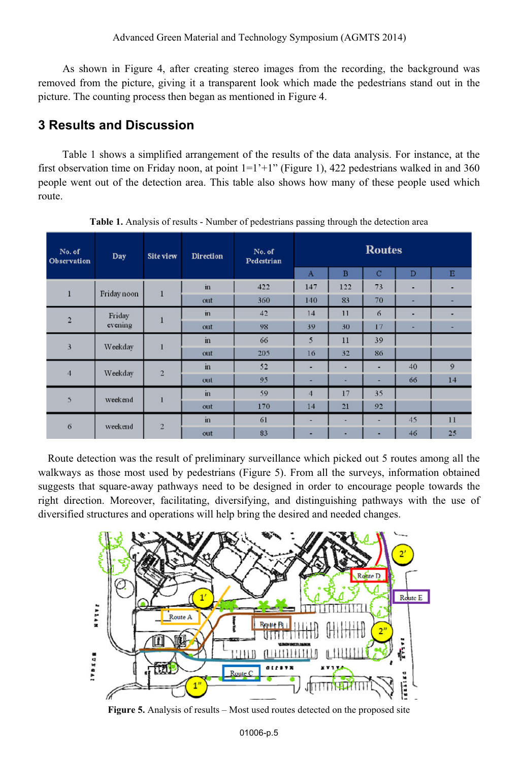As shown in Figure 4, after creating stereo images from the recording, the background was removed from the picture, giving it a transparent look which made the pedestrians stand out in the picture. The counting process then began as mentioned in Figure 4.

### **3 Results and Discussion**

 Table 1 shows a simplified arrangement of the results of the data analysis. For instance, at the first observation time on Friday noon, at point  $1=1'+1''$  (Figure 1), 422 pedestrians walked in and 360 people went out of the detection area. This table also shows how many of these people used which route.

| No. of<br>Observation   | Day               | <b>Site view</b> | <b>Direction</b> | No. of<br>Pedestrian | <b>Routes</b>  |                |             |    |              |
|-------------------------|-------------------|------------------|------------------|----------------------|----------------|----------------|-------------|----|--------------|
|                         |                   |                  |                  |                      | $\mathbf{A}$   | $\overline{B}$ | $\mathbf C$ | D  | E            |
| 1                       | Friday noon       | $\mathbf{1}$     | in               | 422                  | 147            | 122            | 73          | ٠  | ٠            |
|                         |                   |                  | out              | 360                  | 140            | 83             | 70          | ۰  | ۰            |
| $\overline{2}$          | Friday<br>evening | $\mathbf{1}$     | $\mathbf{m}$     | 42                   | 14             | 11             | 6           | ۰  | ۰            |
|                         |                   |                  | out              | 98                   | 39             | 30             | 17          | ۰  | -            |
| $\overline{\mathbf{3}}$ | Weekdav           | 1                | in               | 66                   | 5              | 11             | 39          |    |              |
|                         |                   |                  | out              | 205                  | 16             | 32             | 86          |    |              |
| $\overline{4}$          | Weekday           | $\overline{2}$   | in               | 52                   | ٠              | ٠              | ۰           | 40 | $\mathbf{9}$ |
|                         |                   |                  | out              | 95                   | ۰              | ٠              | ۰           | 66 | 14           |
| 5                       | weekend           | 1                | in               | 59                   | $\overline{4}$ | 17             | 35          |    |              |
|                         |                   |                  | out              | 170                  | 14             | 21             | 92          |    |              |
| 6                       | weekend           | $\overline{2}$   | in               | 61                   | ۰              | ٠              | ٠           | 45 | 11           |
|                         |                   |                  | out              | 83                   | ٠              | ٠              | ۰           | 46 | 25           |

**Table 1.** Analysis of results - Number of pedestrians passing through the detection area

Route detection was the result of preliminary surveillance which picked out 5 routes among all the walkways as those most used by pedestrians (Figure 5). From all the surveys, information obtained suggests that square-away pathways need to be designed in order to encourage people towards the right direction. Moreover, facilitating, diversifying, and distinguishing pathways with the use of diversified structures and operations will help bring the desired and needed changes.



**Figure 5.** Analysis of results – Most used routes detected on the proposed site